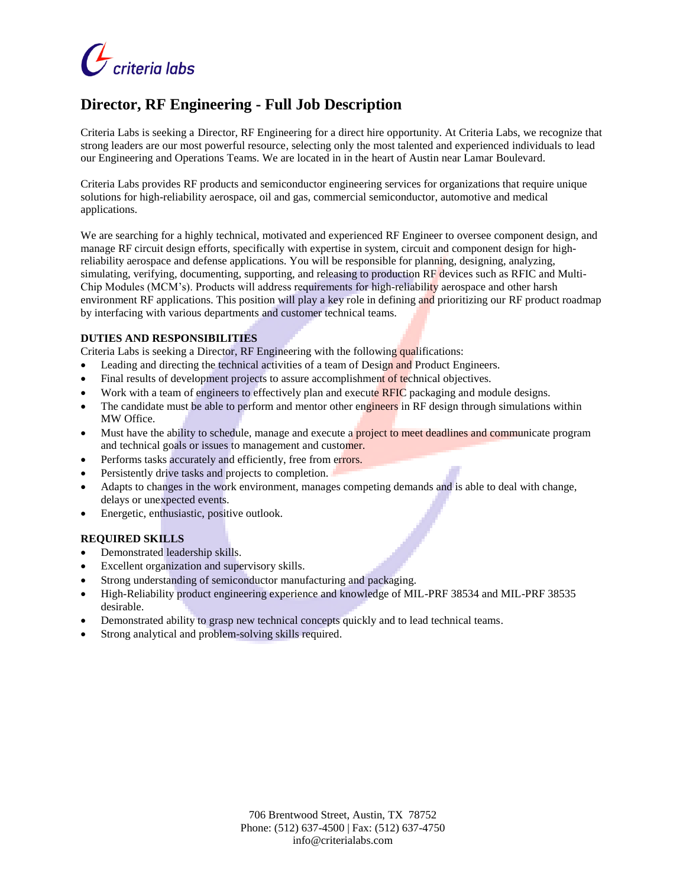

# **Director, RF Engineering - Full Job Description**

Criteria Labs is seeking a Director, RF Engineering for a direct hire opportunity. At Criteria Labs, we recognize that strong leaders are our most powerful resource, selecting only the most talented and experienced individuals to lead our Engineering and Operations Teams. We are located in in the heart of Austin near Lamar Boulevard.

Criteria Labs provides RF products and semiconductor engineering services for organizations that require unique solutions for high-reliability aerospace, oil and gas, commercial semiconductor, automotive and medical applications.

We are searching for a highly technical, motivated and experienced RF Engineer to oversee component design, and manage RF circuit design efforts, specifically with expertise in system, circuit and component design for highreliability aerospace and defense applications. You will be responsible for planning, designing, analyzing, simulating, verifying, documenting, supporting, and releasing to production RF devices such as RFIC and Multi-Chip Modules (MCM's). Products will address requirements for high-reliability aerospace and other harsh environment RF applications. This position will play a key role in defining and prioritizing our RF product roadmap by interfacing with various departments and customer technical teams.

#### **DUTIES AND RESPONSIBILITIES**

Criteria Labs is seeking a Director, RF Engineering with the following qualifications:

- Leading and directing the technical activities of a team of Design and Product Engineers.
- Final results of development projects to assure accomplishment of technical objectives.
- Work with a team of engineers to effectively plan and execute RFIC packaging and module designs.
- The candidate must be able to perform and mentor other engineers in RF design through simulations within MW Office.
- Must have the ability to schedule, manage and execute a **project to meet deadlines and communicate** program and technical goals or issues to management and customer.
- Performs tasks accurately and efficiently, free from errors.
- Persistently drive tasks and projects to completion.
- Adapts to changes in the work environment, manages competing demands and is able to deal with change, delays or unexpected events.
- Energetic, enthusiastic, positive outlook.

## **REQUIRED SKILLS**

- Demonstrated leadership skills.
- Excellent organization and supervisory skills.
- Strong understanding of semiconductor manufacturing and packaging.
- High-Reliability product engineering experience and knowledge of MIL-PRF 38534 and MIL-PRF 38535 desirable.
- Demonstrated ability to grasp new technical concepts quickly and to lead technical teams.
- Strong analytical and problem-solving skills required.